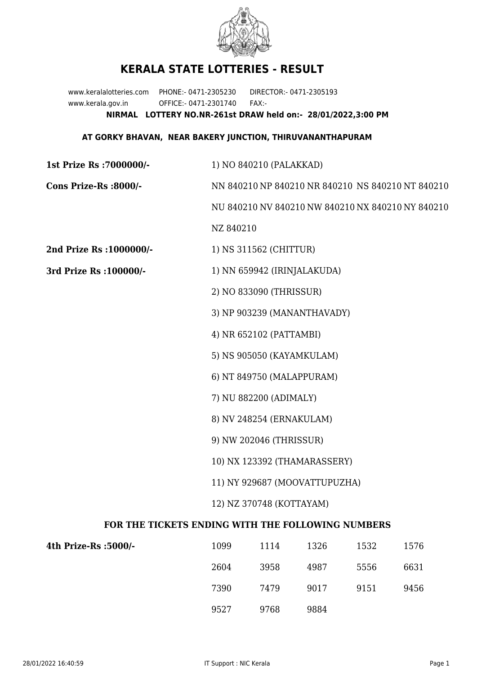

## **KERALA STATE LOTTERIES - RESULT**

www.keralalotteries.com PHONE:- 0471-2305230 DIRECTOR:- 0471-2305193 www.kerala.gov.in OFFICE:- 0471-2301740 FAX:- **NIRMAL LOTTERY NO.NR-261st DRAW held on:- 28/01/2022,3:00 PM**

## **AT GORKY BHAVAN, NEAR BAKERY JUNCTION, THIRUVANANTHAPURAM**

| 1st Prize Rs : 7000000/-                          | 1) NO 840210 (PALAKKAD)                           |                             |                                                   |      |      |  |
|---------------------------------------------------|---------------------------------------------------|-----------------------------|---------------------------------------------------|------|------|--|
| Cons Prize-Rs :8000/-                             | NN 840210 NP 840210 NR 840210 NS 840210 NT 840210 |                             |                                                   |      |      |  |
|                                                   |                                                   |                             | NU 840210 NV 840210 NW 840210 NX 840210 NY 840210 |      |      |  |
|                                                   | NZ 840210                                         |                             |                                                   |      |      |  |
| 2nd Prize Rs : 1000000/-                          |                                                   | 1) NS 311562 (CHITTUR)      |                                                   |      |      |  |
| 3rd Prize Rs : 100000/-                           | 1) NN 659942 (IRINJALAKUDA)                       |                             |                                                   |      |      |  |
|                                                   |                                                   | 2) NO 833090 (THRISSUR)     |                                                   |      |      |  |
|                                                   |                                                   | 3) NP 903239 (MANANTHAVADY) |                                                   |      |      |  |
|                                                   | 4) NR 652102 (PATTAMBI)                           |                             |                                                   |      |      |  |
|                                                   |                                                   | 5) NS 905050 (KAYAMKULAM)   |                                                   |      |      |  |
|                                                   | 6) NT 849750 (MALAPPURAM)                         |                             |                                                   |      |      |  |
|                                                   | 7) NU 882200 (ADIMALY)                            |                             |                                                   |      |      |  |
|                                                   | 8) NV 248254 (ERNAKULAM)                          |                             |                                                   |      |      |  |
|                                                   | 9) NW 202046 (THRISSUR)                           |                             |                                                   |      |      |  |
|                                                   | 10) NX 123392 (THAMARASSERY)                      |                             |                                                   |      |      |  |
|                                                   | 11) NY 929687 (MOOVATTUPUZHA)                     |                             |                                                   |      |      |  |
|                                                   | 12) NZ 370748 (KOTTAYAM)                          |                             |                                                   |      |      |  |
| FOR THE TICKETS ENDING WITH THE FOLLOWING NUMBERS |                                                   |                             |                                                   |      |      |  |
| 4th Prize-Rs :5000/-                              | 1099                                              | 1114                        | 1326                                              | 1532 | 1576 |  |

| 4th Prize-Rs :5000/- | 1099 | 1114 | 1326 | 1532 | 1576 |
|----------------------|------|------|------|------|------|
|                      | 2604 | 3958 | 4987 | 5556 | 6631 |
|                      | 7390 | 7479 | 9017 | 9151 | 9456 |
|                      | 9527 | 9768 | 9884 |      |      |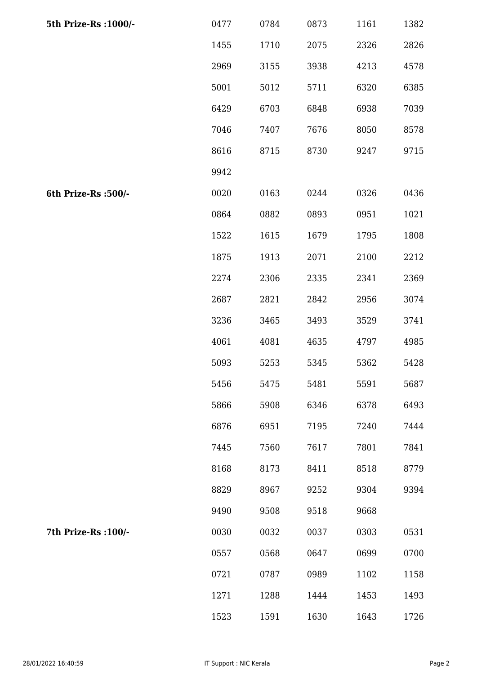| 5th Prize-Rs : 1000/- | 0477 | 0784 | 0873 | 1161 | 1382 |
|-----------------------|------|------|------|------|------|
|                       | 1455 | 1710 | 2075 | 2326 | 2826 |
|                       | 2969 | 3155 | 3938 | 4213 | 4578 |
|                       | 5001 | 5012 | 5711 | 6320 | 6385 |
|                       | 6429 | 6703 | 6848 | 6938 | 7039 |
|                       | 7046 | 7407 | 7676 | 8050 | 8578 |
|                       | 8616 | 8715 | 8730 | 9247 | 9715 |
|                       | 9942 |      |      |      |      |
| 6th Prize-Rs :500/-   | 0020 | 0163 | 0244 | 0326 | 0436 |
|                       | 0864 | 0882 | 0893 | 0951 | 1021 |
|                       | 1522 | 1615 | 1679 | 1795 | 1808 |
|                       | 1875 | 1913 | 2071 | 2100 | 2212 |
|                       | 2274 | 2306 | 2335 | 2341 | 2369 |
|                       | 2687 | 2821 | 2842 | 2956 | 3074 |
|                       | 3236 | 3465 | 3493 | 3529 | 3741 |
|                       | 4061 | 4081 | 4635 | 4797 | 4985 |
|                       | 5093 | 5253 | 5345 | 5362 | 5428 |
|                       | 5456 | 5475 | 5481 | 5591 | 5687 |
|                       | 5866 | 5908 | 6346 | 6378 | 6493 |
|                       | 6876 | 6951 | 7195 | 7240 | 7444 |
|                       | 7445 | 7560 | 7617 | 7801 | 7841 |
|                       | 8168 | 8173 | 8411 | 8518 | 8779 |
|                       | 8829 | 8967 | 9252 | 9304 | 9394 |
|                       | 9490 | 9508 | 9518 | 9668 |      |
| 7th Prize-Rs : 100/-  | 0030 | 0032 | 0037 | 0303 | 0531 |
|                       | 0557 | 0568 | 0647 | 0699 | 0700 |
|                       | 0721 | 0787 | 0989 | 1102 | 1158 |
|                       | 1271 | 1288 | 1444 | 1453 | 1493 |
|                       | 1523 | 1591 | 1630 | 1643 | 1726 |